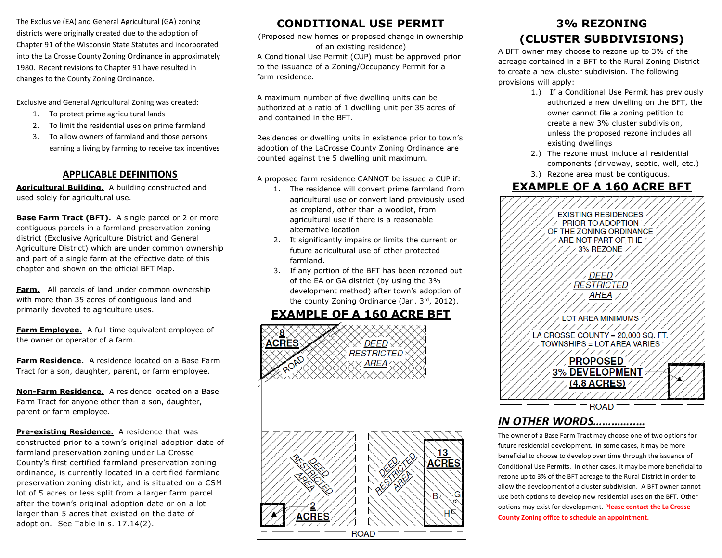The Exclusive (EA) and General Agricultural (GA) zoning districts were originally created due to the adoption of Chapter 91 of the Wisconsin State Statutes and incorporated into the La Crosse County Zoning Ordinance in approximately 1980. Recent revisions to Chapter 91 have resulted in changes to the County Zoning Ordinance.

Exclusive and General Agricultural Zoning was created:

- 1. To protect prime agricultural lands
- 2. To limit the residential uses on prime farmland
- 3. To allow owners of farmland and those persons earning a living by farming to receive tax incentives

#### **APPLICABLE DEFINITIONS**

**Agricultural Building.** A building constructed and used solely for agricultural use.

**Base Farm Tract (BFT).** A single parcel or 2 or more contiguous parcels in a farmland preservation zoning district (Exclusive Agriculture District and General Agriculture District) which are under common ownership and part of a single farm at the effective date of this chapter and shown on the official BFT Map.

**Farm.** All parcels of land under common ownership with more than 35 acres of contiguous land and primarily devoted to agriculture uses.

**Farm Employee.** A full-time equivalent employee of the owner or operator of a farm.

**Farm Residence.** A residence located on a Base Farm Tract for a son, daughter, parent, or farm employee.

**Non-Farm Residence.** A residence located on a Base Farm Tract for anyone other than a son, daughter, parent or farm employee.

**Pre-existing Residence.** A residence that was constructed prior to a town's original adoption date of farmland preservation zoning under La Crosse County's first certified farmland preservation zoning ordinance, is currently located in a certified farmland preservation zoning district, and is situated on a CSM lot of 5 acres or less split from a larger farm parcel after the town's original adoption date or on a lot larger than 5 acres that existed on the date of adoption. See Table in s. 17.14(2).

# **CONDITIONAL USE PERMIT**

(Proposed new homes or proposed change in ownership of an existing residence) A Conditional Use Permit (CUP) must be approved prior to the issuance of a Zoning/Occupancy Permit for a farm residence.

A maximum number of five dwelling units can be authorized at a ratio of 1 dwelling unit per 35 acres of land contained in the BFT.

Residences or dwelling units in existence prior to town's adoption of the LaCrosse County Zoning Ordinance are counted against the 5 dwelling unit maximum.

A proposed farm residence CANNOT be issued a CUP if:

- 1. The residence will convert prime farmland from agricultural use or convert land previously used as cropland, other than a woodlot, from agricultural use if there is a reasonable alternative location.
- 2. It significantly impairs or limits the current or future agricultural use of other protected farmland.
- 3. If any portion of the BFT has been rezoned out of the EA or GA district (by using the 3% development method) after town's adoption of the county Zoning Ordinance (Jan. 3rd, 2012).

# **EXAMPLE OF A 160 ACRE BFT**



# **3% REZONING (CLUSTER SUBDIVISIONS)**

A BFT owner may choose to rezone up to 3% of the acreage contained in a BFT to the Rural Zoning District to create a new cluster subdivision. The following provisions will apply:

- 1.) If a Conditional Use Permit has previously authorized a new dwelling on the BFT, the owner cannot file a zoning petition to create a new 3% cluster subdivision, unless the proposed rezone includes all existing dwellings
- 2.) The rezone must include all residential components (driveway, septic, well, etc.)
- 3.) Rezone area must be contiguous.

#### **EXAMPLE OF A 160 ACRE BFT** 7777777777777777777

| ///////////<br><b>EXISTING RESIDENCES</b><br>$\times$ PRIOR TO ADOPTION $\times$<br>OF THE ZONING ORDINANCE<br>ARE NOT PART OF THE<br>3% REZONE / |
|---------------------------------------------------------------------------------------------------------------------------------------------------|
| ∕ DEED<br><i>RESTRICTED</i><br>AREA                                                                                                               |
| LOT AREA MINIMUMS                                                                                                                                 |
| ////////////<br>LA CROSSE COUNTY = 20,000 SQ. FT.<br>TOWNSHIPS = LOT AREA VARIES ^                                                                |
| /////////<br>APROPOSED A                                                                                                                          |
| 3% DEVELOPMENT<br>7 <u>(4.8 ACRES)</u><br>' / / / / /                                                                                             |
| ROAD                                                                                                                                              |

# *IN OTHER WORDS…………..…*

The owner of a Base Farm Tract may choose one of two options for future residential development. In some cases, it may be more beneficial to choose to develop over time through the issuance of Conditional Use Permits. In other cases, it may be more beneficial to rezone up to 3% of the BFT acreage to the Rural District in order to allow the development of a cluster subdivision. A BFT owner cannot use both options to develop new residential uses on the BFT. Other options may exist for development. **Please contact the La Crosse County Zoning office to schedule an appointment.**